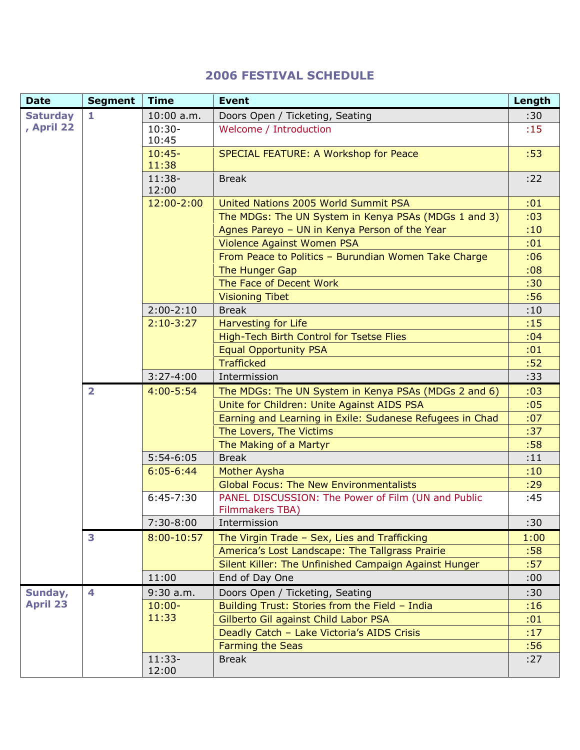## **2006 FESTIVAL SCHEDULE**

| <b>Date</b>                | <b>Segment</b>          | <b>Time</b>       | <b>Event</b>                                                                 | Length |
|----------------------------|-------------------------|-------------------|------------------------------------------------------------------------------|--------|
| <b>Saturday</b>            | $\mathbf{1}$            | $10:00$ a.m.      | Doors Open / Ticketing, Seating                                              | :30    |
| , April 22                 |                         | $10:30-$<br>10:45 | Welcome / Introduction                                                       | :15    |
|                            |                         | $10:45-$<br>11:38 | SPECIAL FEATURE: A Workshop for Peace                                        | :53    |
|                            |                         | $11:38-$<br>12:00 | <b>Break</b>                                                                 | :22    |
|                            |                         | 12:00-2:00        | United Nations 2005 World Summit PSA                                         | :01    |
|                            |                         |                   | The MDGs: The UN System in Kenya PSAs (MDGs 1 and 3)                         | :03    |
|                            |                         |                   | Agnes Pareyo - UN in Kenya Person of the Year                                | :10    |
|                            |                         |                   | Violence Against Women PSA                                                   | :01    |
|                            |                         |                   | From Peace to Politics - Burundian Women Take Charge                         | :06    |
|                            |                         |                   | The Hunger Gap                                                               | :08    |
|                            |                         |                   | The Face of Decent Work                                                      | :30    |
|                            |                         |                   | <b>Visioning Tibet</b>                                                       | :56    |
|                            |                         | $2:00-2:10$       | <b>Break</b>                                                                 | :10    |
|                            |                         | $2:10-3:27$       | Harvesting for Life                                                          | :15    |
|                            |                         |                   | High-Tech Birth Control for Tsetse Flies                                     | :04    |
|                            |                         |                   | <b>Equal Opportunity PSA</b>                                                 | :01    |
|                            |                         |                   | <b>Trafficked</b>                                                            | :52    |
|                            |                         | $3:27-4:00$       | Intermission                                                                 | :33    |
|                            | $\overline{\mathbf{2}}$ | $4:00 - 5:54$     | The MDGs: The UN System in Kenya PSAs (MDGs 2 and 6)                         | :03    |
|                            |                         |                   | Unite for Children: Unite Against AIDS PSA                                   | :05    |
|                            |                         |                   | Earning and Learning in Exile: Sudanese Refugees in Chad                     | :07    |
|                            |                         |                   | The Lovers, The Victims                                                      | :37    |
|                            |                         |                   | The Making of a Martyr                                                       | :58    |
|                            |                         | $5:54-6:05$       | <b>Break</b>                                                                 | :11    |
|                            |                         | $6:05 - 6:44$     | Mother Aysha                                                                 | :10    |
|                            |                         |                   | <b>Global Focus: The New Environmentalists</b>                               | :29    |
|                            |                         | $6:45-7:30$       | PANEL DISCUSSION: The Power of Film (UN and Public<br><b>Filmmakers TBA)</b> | :45    |
|                            |                         | $7:30-8:00$       | Intermission                                                                 | :30    |
|                            | 3                       | $8:00 - 10:57$    | The Virgin Trade - Sex, Lies and Trafficking                                 | 1:00   |
|                            |                         |                   | America's Lost Landscape: The Tallgrass Prairie                              | :58    |
|                            |                         |                   | Silent Killer: The Unfinished Campaign Against Hunger                        | :57    |
|                            |                         | 11:00             | End of Day One                                                               | :00    |
| Sunday,<br><b>April 23</b> | 4                       | $9:30$ a.m.       | Doors Open / Ticketing, Seating                                              | :30    |
|                            |                         | $10:00 -$         | Building Trust: Stories from the Field - India                               | :16    |
|                            |                         | 11:33             | Gilberto Gil against Child Labor PSA                                         | :01    |
|                            |                         |                   | Deadly Catch - Lake Victoria's AIDS Crisis                                   | :17    |
|                            |                         |                   | <b>Farming the Seas</b>                                                      | :56    |
|                            |                         | $11:33-$<br>12:00 | <b>Break</b>                                                                 | :27    |